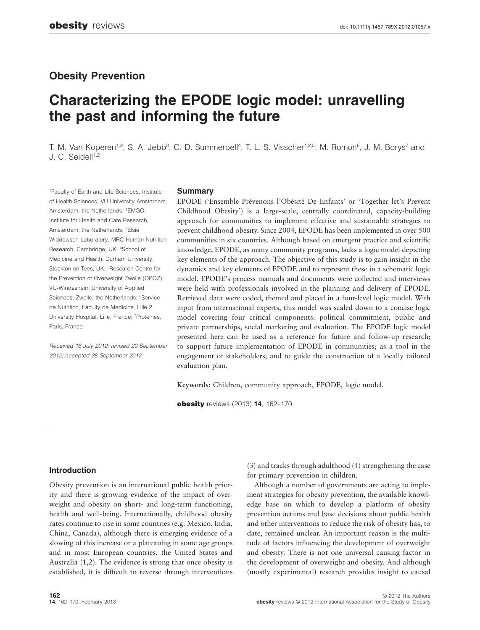## **Obesity Prevention**

# **Characterizing the EPODE logic model: unravelling the past and informing the future**

T. M. Van Koperen<sup>1,2</sup>, S. A. Jebb<sup>3</sup>, C. D. Summerbell<sup>4</sup>, T. L. S. Visscher<sup>1,2,5</sup>, M. Romon<sup>6</sup>, J. M. Borys<sup>7</sup> and J. C. Seidell<sup>1,2</sup>

1Faculty of Earth and Life Sciences, Institute of Health Sciences, VU University Amsterdam, Amsterdam, the Netherlands; <sup>2</sup>EMGO+ Institute for Health and Care Research, Amsterdam, the Netherlands; 3Elsie Widdowson Laboratory, MRC Human Nutrition Research, Cambridge, UK; <sup>4</sup>School of Medicine and Health, Durham University, Stockton-on-Tees, UK; <sup>5</sup>Research Centre for the Prevention of Overweight Zwolle (OPOZ), VU-Windesheim University of Applied Sciences, Zwolle, the Netherlands; <sup>6</sup>Service de Nutrition, Faculty de Medicine, Lille 2 University Hospital, Lille, France; <sup>7</sup>Proteines, Paris, France

*Received 16 July 2012; revised 20 September 2012; accepted 28 September 2012*

#### **Summary**

EPODE ('Ensemble Prévenons l'Obésité De Enfants' or 'Together let's Prevent Childhood Obesity') is a large-scale, centrally coordinated, capacity-building approach for communities to implement effective and sustainable strategies to prevent childhood obesity. Since 2004, EPODE has been implemented in over 500 communities in six countries. Although based on emergent practice and scientific knowledge, EPODE, as many community programs, lacks a logic model depicting key elements of the approach. The objective of this study is to gain insight in the dynamics and key elements of EPODE and to represent these in a schematic logic model. EPODE's process manuals and documents were collected and interviews were held with professionals involved in the planning and delivery of EPODE. Retrieved data were coded, themed and placed in a four-level logic model. With input from international experts, this model was scaled down to a concise logic model covering four critical components: political commitment, public and private partnerships, social marketing and evaluation. The EPODE logic model presented here can be used as a reference for future and follow-up research; to support future implementation of EPODE in communities; as a tool in the engagement of stakeholders; and to guide the construction of a locally tailored evaluation plan.

**Keywords:** Children, community approach, EPODE, logic model.

**obesity** reviews (2013) **14**, 162–170

#### **Introduction**

Obesity prevention is an international public health priority and there is growing evidence of the impact of overweight and obesity on short- and long-term functioning, health and well-being. Internationally, childhood obesity rates continue to rise in some countries (e.g. Mexico, India, China, Canada), although there is emerging evidence of a slowing of this increase or a plateauing in some age groups and in most European countries, the United States and Australia (1,2). The evidence is strong that once obesity is established, it is difficult to reverse through interventions (3) and tracks through adulthood (4) strengthening the case for primary prevention in children.

Although a number of governments are acting to implement strategies for obesity prevention, the available knowledge base on which to develop a platform of obesity prevention actions and base decisions about public health and other interventions to reduce the risk of obesity has, to date, remained unclear. An important reason is the multitude of factors influencing the development of overweight and obesity. There is not one universal causing factor in the development of overweight and obesity. And although (mostly experimental) research provides insight to causal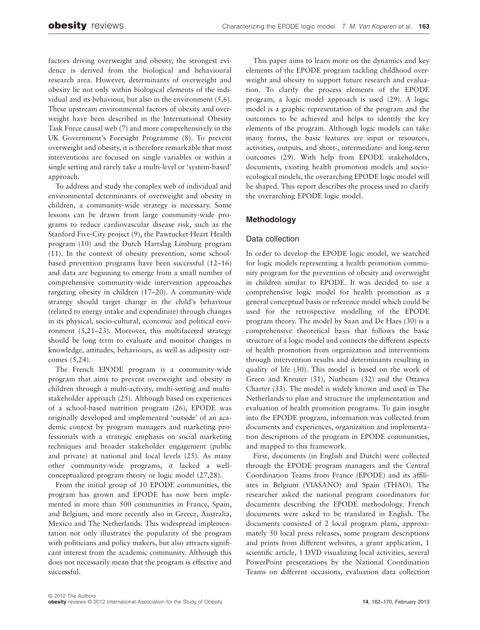factors driving overweight and obesity, the strongest evidence is derived from the biological and behavioural research area. However, determinants of overweight and obesity lie not only within biological elements of the individual and its behaviour, but also in the environment (5,6). These upstream environmental factors of obesity and overweight have been described in the International Obesity Task Force causal web (7) and more comprehensively in the UK Government's Foresight Programme (8). To prevent overweight and obesity, it is therefore remarkable that most interventions are focused on single variables or within a single setting and rarely take a multi-level or 'system-based' approach.

To address and study the complex web of individual and environmental determinants of overweight and obesity in children, a community-wide strategy is necessary. Some lessons can be drawn from large community-wide programs to reduce cardiovascular disease risk, such as the Stanford Five-City project (9), the Pawtucket Heart Health program (10) and the Dutch Hartslag Limburg program (11). In the context of obesity prevention, some schoolbased prevention programs have been successful (12–16) and data are beginning to emerge from a small number of comprehensive community-wide intervention approaches targeting obesity in children (17–20). A community-wide strategy should target change in the child's behaviour (related to energy intake and expenditure) through changes in its physical, socio-cultural, economic and political environment (5,21–23). Moreover, this multifaceted strategy should be long term to evaluate and monitor changes in knowledge, attitudes, behaviours, as well as adiposity outcomes (5,24).

The French EPODE program is a community-wide program that aims to prevent overweight and obesity in children through a multi-activity, multi-setting and multistakeholder approach (25). Although based on experiences of a school-based nutrition program (26), EPODE was originally developed and implemented 'outside' of an academic context by program managers and marketing professionals with a strategic emphasis on social marketing techniques and broader stakeholder engagement (public and private) at national and local levels (25). As many other community-wide programs, it lacked a wellconceptualized program theory or logic model (27,28).

From the initial group of 10 EPODE communities, the program has grown and EPODE has now been implemented in more than 500 communities in France, Spain, and Belgium, and more recently also in Greece, Australia, Mexico and The Netherlands. This widespread implementation not only illustrates the popularity of the program with politicians and policy makers, but also attracts significant interest from the academic community. Although this does not necessarily mean that the program is effective and successful.

This paper aims to learn more on the dynamics and key elements of the EPODE program tackling childhood overweight and obesity to support future research and evaluation. To clarify the process elements of the EPODE program, a logic model approach is used (29). A logic model is a graphic representation of the program and the outcomes to be achieved and helps to identify the key elements of the program. Although logic models can take many forms, the basic features are input or resources, activities, outputs, and short-, intermediate- and long-term outcomes (29). With help from EPODE stakeholders, documents, existing health promotion models and socioecological models, the overarching EPODE logic model will be shaped. This report describes the process used to clarify the overarching EPODE logic model.

### **Methodology**

#### Data collection

In order to develop the EPODE logic model, we searched for logic models representing a health promotion community program for the prevention of obesity and overweight in children similar to EPODE. It was decided to use a comprehensive logic model for health promotion as a general conceptual basis or reference model which could be used for the retrospective modelling of the EPODE program theory. The model by Saan and De Haes (30) is a comprehensive theoretical basis that follows the basic structure of a logic model and connects the different aspects of health promotion from organization and interventions through intervention results and determinants resulting in quality of life (30). This model is based on the work of Green and Kreuter (31), Nutbeam (32) and the Ottawa Charter (33). The model is widely known and used in The Netherlands to plan and structure the implementation and evaluation of health promotion programs. To gain insight into the EPODE program, information was collected from documents and experiences, organization and implementation descriptions of the program in EPODE communities, and mapped to this framework.

First, documents (in English and Dutch) were collected through the EPODE program managers and the Central Coordination Teams from France (EPODE) and its affiliates in Belgium (VIASANO) and Spain (THAO). The researcher asked the national program coordinators for documents describing the EPODE methodology. French documents were asked to be translated in English. The documents consisted of 2 local program plans, approximately 50 local press releases, some program descriptions and prints from different websites, a grant application, 1 scientific article, 1 DVD visualizing local activities, several PowerPoint presentations by the National Coordination Teams on different occasions, evaluation data collection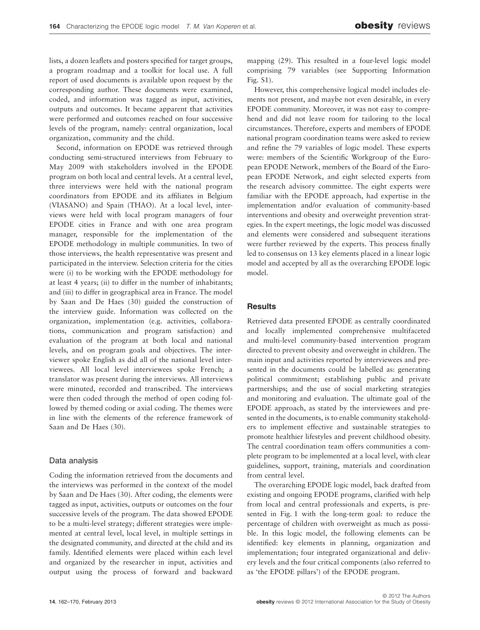lists, a dozen leaflets and posters specified for target groups, a program roadmap and a toolkit for local use. A full report of used documents is available upon request by the corresponding author. These documents were examined, coded, and information was tagged as input, activities, outputs and outcomes. It became apparent that activities were performed and outcomes reached on four successive levels of the program, namely: central organization, local organization, community and the child.

Second, information on EPODE was retrieved through conducting semi-structured interviews from February to May 2009 with stakeholders involved in the EPODE program on both local and central levels. At a central level, three interviews were held with the national program coordinators from EPODE and its affiliates in Belgium (VIASANO) and Spain (THAO). At a local level, interviews were held with local program managers of four EPODE cities in France and with one area program manager, responsible for the implementation of the EPODE methodology in multiple communities. In two of those interviews, the health representative was present and participated in the interview. Selection criteria for the cities were (i) to be working with the EPODE methodology for at least 4 years; (ii) to differ in the number of inhabitants; and (iii) to differ in geographical area in France. The model by Saan and De Haes (30) guided the construction of the interview guide. Information was collected on the organization, implementation (e.g. activities, collaborations, communication and program satisfaction) and evaluation of the program at both local and national levels, and on program goals and objectives. The interviewer spoke English as did all of the national level interviewees. All local level interviewees spoke French; a translator was present during the interviews. All interviews were minuted, recorded and transcribed. The interviews were then coded through the method of open coding followed by themed coding or axial coding. The themes were in line with the elements of the reference framework of Saan and De Haes (30).

#### Data analysis

Coding the information retrieved from the documents and the interviews was performed in the context of the model by Saan and De Haes (30). After coding, the elements were tagged as input, activities, outputs or outcomes on the four successive levels of the program. The data showed EPODE to be a multi-level strategy; different strategies were implemented at central level, local level, in multiple settings in the designated community, and directed at the child and its family. Identified elements were placed within each level and organized by the researcher in input, activities and output using the process of forward and backward

mapping (29). This resulted in a four-level logic model comprising 79 variables (see Supporting Information Fig. S1).

However, this comprehensive logical model includes elements not present, and maybe not even desirable, in every EPODE community. Moreover, it was not easy to comprehend and did not leave room for tailoring to the local circumstances. Therefore, experts and members of EPODE national program coordination teams were asked to review and refine the 79 variables of logic model. These experts were: members of the Scientific Workgroup of the European EPODE Network, members of the Board of the European EPODE Network, and eight selected experts from the research advisory committee. The eight experts were familiar with the EPODE approach, had expertise in the implementation and/or evaluation of community-based interventions and obesity and overweight prevention strategies. In the expert meetings, the logic model was discussed and elements were considered and subsequent iterations were further reviewed by the experts. This process finally led to consensus on 13 key elements placed in a linear logic model and accepted by all as the overarching EPODE logic model.

#### **Results**

Retrieved data presented EPODE as centrally coordinated and locally implemented comprehensive multifaceted and multi-level community-based intervention program directed to prevent obesity and overweight in children. The main input and activities reported by interviewees and presented in the documents could be labelled as: generating political commitment; establishing public and private partnerships; and the use of social marketing strategies and monitoring and evaluation. The ultimate goal of the EPODE approach, as stated by the interviewees and presented in the documents, is to enable community stakeholders to implement effective and sustainable strategies to promote healthier lifestyles and prevent childhood obesity. The central coordination team offers communities a complete program to be implemented at a local level, with clear guidelines, support, training, materials and coordination from central level.

The overarching EPODE logic model, back drafted from existing and ongoing EPODE programs, clarified with help from local and central professionals and experts, is presented in Fig. 1 with the long-term goal: to reduce the percentage of children with overweight as much as possible. In this logic model, the following elements can be identified: key elements in planning, organization and implementation; four integrated organizational and delivery levels and the four critical components (also referred to as 'the EPODE pillars') of the EPODE program.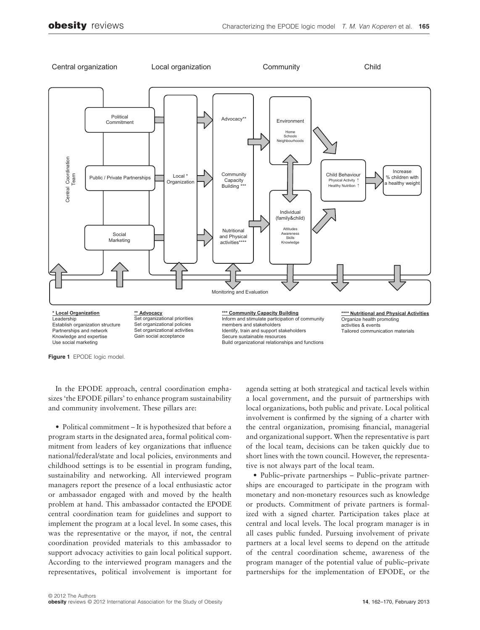

**Figure 1** EPODE logic model.

In the EPODE approach, central coordination emphasizes 'the EPODE pillars' to enhance program sustainability and community involvement. These pillars are:

• Political commitment – It is hypothesized that before a program starts in the designated area, formal political commitment from leaders of key organizations that influence national/federal/state and local policies, environments and childhood settings is to be essential in program funding, sustainability and networking. All interviewed program managers report the presence of a local enthusiastic actor or ambassador engaged with and moved by the health problem at hand. This ambassador contacted the EPODE central coordination team for guidelines and support to implement the program at a local level. In some cases, this was the representative or the mayor, if not, the central coordination provided materials to this ambassador to support advocacy activities to gain local political support. According to the interviewed program managers and the representatives, political involvement is important for agenda setting at both strategical and tactical levels within a local government, and the pursuit of partnerships with local organizations, both public and private. Local political involvement is confirmed by the signing of a charter with the central organization, promising financial, managerial and organizational support. When the representative is part of the local team, decisions can be taken quickly due to short lines with the town council. However, the representative is not always part of the local team.

• Public–private partnerships – Public–private partnerships are encouraged to participate in the program with monetary and non-monetary resources such as knowledge or products. Commitment of private partners is formalized with a signed charter. Participation takes place at central and local levels. The local program manager is in all cases public funded. Pursuing involvement of private partners at a local level seems to depend on the attitude of the central coordination scheme, awareness of the program manager of the potential value of public–private partnerships for the implementation of EPODE, or the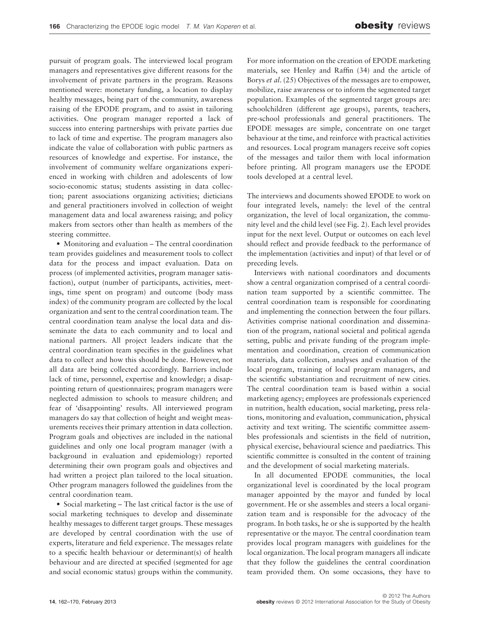pursuit of program goals. The interviewed local program managers and representatives give different reasons for the involvement of private partners in the program. Reasons mentioned were: monetary funding, a location to display healthy messages, being part of the community, awareness raising of the EPODE program, and to assist in tailoring activities. One program manager reported a lack of success into entering partnerships with private parties due to lack of time and expertise. The program managers also indicate the value of collaboration with public partners as resources of knowledge and expertise. For instance, the involvement of community welfare organizations experienced in working with children and adolescents of low socio-economic status; students assisting in data collection; parent associations organizing activities; dieticians and general practitioners involved in collection of weight management data and local awareness raising; and policy makers from sectors other than health as members of the steering committee.

• Monitoring and evaluation – The central coordination team provides guidelines and measurement tools to collect data for the process and impact evaluation. Data on process (of implemented activities, program manager satisfaction), output (number of participants, activities, meetings, time spent on program) and outcome (body mass index) of the community program are collected by the local organization and sent to the central coordination team. The central coordination team analyse the local data and disseminate the data to each community and to local and national partners. All project leaders indicate that the central coordination team specifies in the guidelines what data to collect and how this should be done. However, not all data are being collected accordingly. Barriers include lack of time, personnel, expertise and knowledge; a disappointing return of questionnaires; program managers were neglected admission to schools to measure children; and fear of 'disappointing' results. All interviewed program managers do say that collection of height and weight measurements receives their primary attention in data collection. Program goals and objectives are included in the national guidelines and only one local program manager (with a background in evaluation and epidemiology) reported determining their own program goals and objectives and had written a project plan tailored to the local situation. Other program managers followed the guidelines from the central coordination team.

• Social marketing – The last critical factor is the use of social marketing techniques to develop and disseminate healthy messages to different target groups. These messages are developed by central coordination with the use of experts, literature and field experience. The messages relate to a specific health behaviour or determinant(s) of health behaviour and are directed at specified (segmented for age and social economic status) groups within the community.

For more information on the creation of EPODE marketing materials, see Henley and Raffin (34) and the article of Borys *et al*. (25) Objectives of the messages are to empower, mobilize, raise awareness or to inform the segmented target population. Examples of the segmented target groups are: schoolchildren (different age groups), parents, teachers, pre-school professionals and general practitioners. The EPODE messages are simple, concentrate on one target behaviour at the time, and reinforce with practical activities and resources. Local program managers receive soft copies of the messages and tailor them with local information before printing. All program managers use the EPODE tools developed at a central level.

The interviews and documents showed EPODE to work on four integrated levels, namely: the level of the central organization, the level of local organization, the community level and the child level (see Fig. 2). Each level provides input for the next level. Output or outcomes on each level should reflect and provide feedback to the performance of the implementation (activities and input) of that level or of preceding levels.

Interviews with national coordinators and documents show a central organization comprised of a central coordination team supported by a scientific committee. The central coordination team is responsible for coordinating and implementing the connection between the four pillars. Activities comprise national coordination and dissemination of the program, national societal and political agenda setting, public and private funding of the program implementation and coordination, creation of communication materials, data collection, analyses and evaluation of the local program, training of local program managers, and the scientific substantiation and recruitment of new cities. The central coordination team is based within a social marketing agency; employees are professionals experienced in nutrition, health education, social marketing, press relations, monitoring and evaluation, communication, physical activity and text writing. The scientific committee assembles professionals and scientists in the field of nutrition, physical exercise, behavioural science and paediatrics. This scientific committee is consulted in the content of training and the development of social marketing materials.

In all documented EPODE communities, the local organizational level is coordinated by the local program manager appointed by the mayor and funded by local government. He or she assembles and steers a local organization team and is responsible for the advocacy of the program. In both tasks, he or she is supported by the health representative or the mayor. The central coordination team provides local program managers with guidelines for the local organization. The local program managers all indicate that they follow the guidelines the central coordination team provided them. On some occasions, they have to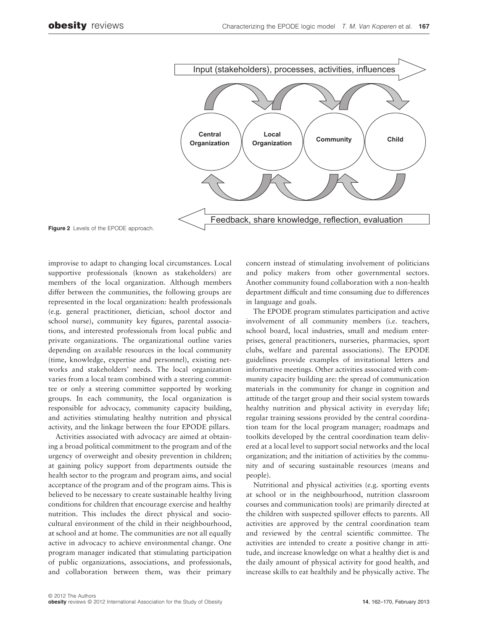

**Figure 2** Levels of the EPODE approach.

improvise to adapt to changing local circumstances. Local supportive professionals (known as stakeholders) are members of the local organization. Although members differ between the communities, the following groups are represented in the local organization: health professionals (e.g. general practitioner, dietician, school doctor and school nurse), community key figures, parental associations, and interested professionals from local public and private organizations. The organizational outline varies depending on available resources in the local community (time, knowledge, expertise and personnel), existing networks and stakeholders' needs. The local organization varies from a local team combined with a steering committee or only a steering committee supported by working groups. In each community, the local organization is responsible for advocacy, community capacity building, and activities stimulating healthy nutrition and physical activity, and the linkage between the four EPODE pillars.

Activities associated with advocacy are aimed at obtaining a broad political commitment to the program and of the urgency of overweight and obesity prevention in children; at gaining policy support from departments outside the health sector to the program and program aims, and social acceptance of the program and of the program aims. This is believed to be necessary to create sustainable healthy living conditions for children that encourage exercise and healthy nutrition. This includes the direct physical and sociocultural environment of the child in their neighbourhood, at school and at home. The communities are not all equally active in advocacy to achieve environmental change. One program manager indicated that stimulating participation of public organizations, associations, and professionals, and collaboration between them, was their primary concern instead of stimulating involvement of politicians and policy makers from other governmental sectors. Another community found collaboration with a non-health department difficult and time consuming due to differences in language and goals.

The EPODE program stimulates participation and active involvement of all community members (i.e. teachers, school board, local industries, small and medium enterprises, general practitioners, nurseries, pharmacies, sport clubs, welfare and parental associations). The EPODE guidelines provide examples of invitational letters and informative meetings. Other activities associated with community capacity building are: the spread of communication materials in the community for change in cognition and attitude of the target group and their social system towards healthy nutrition and physical activity in everyday life; regular training sessions provided by the central coordination team for the local program manager; roadmaps and toolkits developed by the central coordination team delivered at a local level to support social networks and the local organization; and the initiation of activities by the community and of securing sustainable resources (means and people).

Nutritional and physical activities (e.g. sporting events at school or in the neighbourhood, nutrition classroom courses and communication tools) are primarily directed at the children with suspected spillover effects to parents. All activities are approved by the central coordination team and reviewed by the central scientific committee. The activities are intended to create a positive change in attitude, and increase knowledge on what a healthy diet is and the daily amount of physical activity for good health, and increase skills to eat healthily and be physically active. The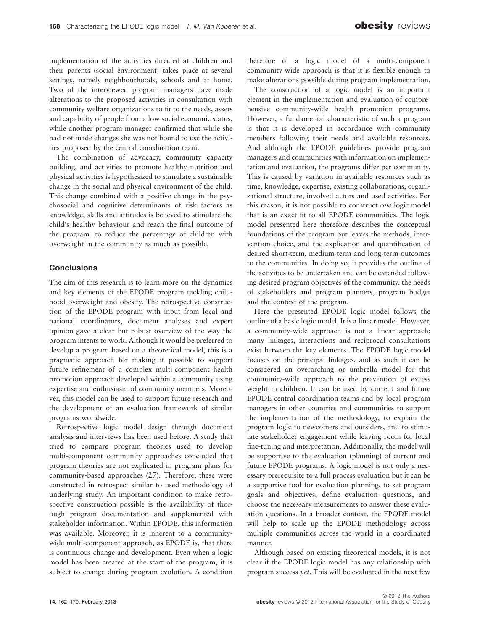implementation of the activities directed at children and their parents (social environment) takes place at several settings, namely neighbourhoods, schools and at home. Two of the interviewed program managers have made alterations to the proposed activities in consultation with community welfare organizations to fit to the needs, assets and capability of people from a low social economic status, while another program manager confirmed that while she had not made changes she was not bound to use the activities proposed by the central coordination team.

The combination of advocacy, community capacity building, and activities to promote healthy nutrition and physical activities is hypothesized to stimulate a sustainable change in the social and physical environment of the child. This change combined with a positive change in the psychosocial and cognitive determinants of risk factors as knowledge, skills and attitudes is believed to stimulate the child's healthy behaviour and reach the final outcome of the program: to reduce the percentage of children with overweight in the community as much as possible.

#### **Conclusions**

The aim of this research is to learn more on the dynamics and key elements of the EPODE program tackling childhood overweight and obesity. The retrospective construction of the EPODE program with input from local and national coordinators, document analyses and expert opinion gave a clear but robust overview of the way the program intents to work. Although it would be preferred to develop a program based on a theoretical model, this is a pragmatic approach for making it possible to support future refinement of a complex multi-component health promotion approach developed within a community using expertise and enthusiasm of community members. Moreover, this model can be used to support future research and the development of an evaluation framework of similar programs worldwide.

Retrospective logic model design through document analysis and interviews has been used before. A study that tried to compare program theories used to develop multi-component community approaches concluded that program theories are not explicated in program plans for community-based approaches (27). Therefore, these were constructed in retrospect similar to used methodology of underlying study. An important condition to make retrospective construction possible is the availability of thorough program documentation and supplemented with stakeholder information. Within EPODE, this information was available. Moreover, it is inherent to a communitywide multi-component approach, as EPODE is, that there is continuous change and development. Even when a logic model has been created at the start of the program, it is subject to change during program evolution. A condition therefore of a logic model of a multi-component community-wide approach is that it is flexible enough to make alterations possible during program implementation.

The construction of a logic model is an important element in the implementation and evaluation of comprehensive community-wide health promotion programs. However, a fundamental characteristic of such a program is that it is developed in accordance with community members following their needs and available resources. And although the EPODE guidelines provide program managers and communities with information on implementation and evaluation, the programs differ per community. This is caused by variation in available resources such as time, knowledge, expertise, existing collaborations, organizational structure, involved actors and used activities. For this reason, it is not possible to construct *one* logic model that is an exact fit to all EPODE communities. The logic model presented here therefore describes the conceptual foundations of the program but leaves the methods, intervention choice, and the explication and quantification of desired short-term, medium-term and long-term outcomes to the communities. In doing so, it provides the outline of the activities to be undertaken and can be extended following desired program objectives of the community, the needs of stakeholders and program planners, program budget and the context of the program.

Here the presented EPODE logic model follows the outline of a basic logic model. It is a linear model. However, a community-wide approach is not a linear approach; many linkages, interactions and reciprocal consultations exist between the key elements. The EPODE logic model focuses on the principal linkages, and as such it can be considered an overarching or umbrella model for this community-wide approach to the prevention of excess weight in children. It can be used by current and future EPODE central coordination teams and by local program managers in other countries and communities to support the implementation of the methodology, to explain the program logic to newcomers and outsiders, and to stimulate stakeholder engagement while leaving room for local fine-tuning and interpretation. Additionally, the model will be supportive to the evaluation (planning) of current and future EPODE programs. A logic model is not only a necessary prerequisite to a full process evaluation but it can be a supportive tool for evaluation planning, to set program goals and objectives, define evaluation questions, and choose the necessary measurements to answer these evaluation questions. In a broader context, the EPODE model will help to scale up the EPODE methodology across multiple communities across the world in a coordinated manner.

Although based on existing theoretical models, it is not clear if the EPODE logic model has any relationship with program success *yet*. This will be evaluated in the next few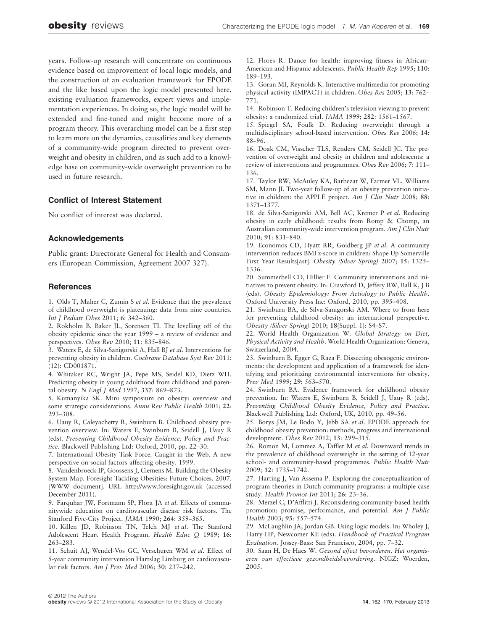years. Follow-up research will concentrate on continuous evidence based on improvement of local logic models, and the construction of an evaluation framework for EPODE and the like based upon the logic model presented here, existing evaluation frameworks, expert views and implementation experiences. In doing so, the logic model will be extended and fine-tuned and might become more of a program theory. This overarching model can be a first step to learn more on the dynamics, causalities and key elements of a community-wide program directed to prevent overweight and obesity in children, and as such add to a knowledge base on community-wide overweight prevention to be used in future research.

#### **Conflict of Interest Statement**

No conflict of interest was declared.

#### **Acknowledgements**

Public grant: Directorate General for Health and Consumers (European Commission, Agreement 2007 327).

#### **References**

1. Olds T, Maher C, Zumin S *et al*. Evidence that the prevalence of childhood overweight is plateauing: data from nine countries. *Int J Pediatr Obes* 2011; **6**: 342–360.

2. Rokholm B, Baker JL, Sorensen TI. The levelling off of the obesity epidemic since the year 1999 – a review of evidence and perspectives. *Obes Rev* 2010; **11**: 835–846.

3. Waters E, de Silva-Sanigorski A, Hall BJ *et al*. Interventions for preventing obesity in children. *Cochrane Database Syst Rev* 2011; (12): CD001871.

4. Whitaker RC, Wright JA, Pepe MS, Seidel KD, Dietz WH. Predicting obesity in young adulthood from childhood and parental obesity. *N Engl J Med* 1997; **337**: 869–873.

5. Kumanyika SK. Mini symposium on obesity: overview and some strategic considerations. *Annu Rev Public Health* 2001; **22**: 293–308.

6. Uauy R, Caleyachetty R, Swinburn B. Childhood obesity prevention overview. In: Waters E, Swinburn B, Seidell J, Uauy R (eds). *Preventing Childhood Obesity Evidence, Policy and Practice*. Blackwell Publishing Ltd: Oxford, 2010, pp. 22–30.

7. International Obesity Task Force. Caught in the Web. A new perspective on social factors affecting obesity. 1999.

8. Vandenbroeck IP, Goossens J, Clemens M. Building the Obesity System Map. Foresight Tackling Obesities: Future Choices. 2007. [WWW document]. URL http://www.foresight.gov.uk (accessed December 2011).

9. Farquhar JW, Fortmann SP, Flora JA *et al*. Effects of communitywide education on cardiovascular disease risk factors. The Stanford Five-City Project. *JAMA* 1990; **264**: 359–365.

10. Killen JD, Robinson TN, Telch MJ *et al*. The Stanford Adolescent Heart Health Program. *Health Educ Q* 1989; **16**: 263–283.

11. Schuit AJ, Wendel-Vos GC, Verschuren WM *et al*. Effect of 5-year community intervention Hartslag Limburg on cardiovascular risk factors. *Am J Prev Med* 2006; **30**: 237–242.

12. Flores R. Dance for health: improving fitness in African– American and Hispanic adolescents. *Public Health Rep* 1995; **110**: 189–193.

13. Goran MI, Reynolds K. Interactive multimedia for promoting physical activity (IMPACT) in children. *Obes Res* 2005; **13**: 762– 771.

14. Robinson T. Reducing children's television viewing to prevent obesity: a randomized trial. *JAMA* 1999; **282**: 1561–1567.

15. Spiegel SA, Foulk D. Reducing overweight through a multidisciplinary school-based intervention. *Obes Res* 2006; **14**: 88–96.

16. Doak CM, Visscher TLS, Renders CM, Seidell JC. The prevention of overweight and obesity in children and adolescents: a review of interventions and programmes. *Obes Rev* 2006; **7**: 111– 136.

17. Taylor RW, McAuley KA, Barbezat W, Farmer VL, Williams SM, Mann JI. Two-year follow-up of an obesity prevention initiative in children: the APPLE project. *Am J Clin Nutr* 2008; **88**: 1371–1377.

18. de Silva-Sanigorski AM, Bell AC, Kremer P *et al*. Reducing obesity in early childhood: results from Romp & Chomp, an Australian community-wide intervention program. *Am J Clin Nutr* 2010; **91**: 831–840.

19. Economos CD, Hyatt RR, Goldberg JP *et al*. A community intervention reduces BMI z-score in children: Shape Up Somerville First Year Results[ast]. *Obesity (Silver Spring)* 2007; **15**: 1325– 1336.

20. Summerbell CD, Hillier F. Community interventions and initiatives to prevent obesity. In: Crawford D, Jeffery RW, Ball K, J B (eds). *Obesity Epidemiology: From Aetiology to Public Health*. Oxford University Press Inc: Oxford, 2010, pp. 395–408.

21. Swinburn BA, de Silva-Sanigorski AM. Where to from here for preventing childhood obesity: an international perspective. *Obesity (Silver Spring)* 2010; **18**(Suppl. 1): S4–S7.

22. World Health Organization W. *Global Strategy on Diet, Physical Activity and Health*. World Health Organization: Geneva, Switzerland, 2004.

23. Swinburn B, Egger G, Raza F. Dissecting obesogenic environments: the development and application of a framework for identifying and prioritizing environmental interventions for obesity. *Prev Med* 1999; **29**: 563–570.

24. Swinburn BA. Evidence framework for childhood obesity prevention. In: Waters E, Swinburn B, Seidell J, Uauy R (eds). *Preventing Childhood Obesity Evidence, Policy and Practice*. Blackwell Publishing Ltd: Oxford, UK, 2010, pp. 49–56.

25. Borys JM, Le Bodo Y, Jebb SA *et al*. EPODE approach for childhood obesity prevention: methods, progress and international development. *Obes Rev* 2012; **13**: 299–315.

26. Romon M, Lommez A, Tafflet M *et al*. Downward trends in the prevalence of childhood overweight in the setting of 12-year school- and community-based programmes. *Public Health Nutr* 2009; **12**: 1735–1742.

27. Harting J, Van Assema P. Exploring the conceptualization of program theories in Dutch community programs: a multiple case study. *Health Promot Int* 2011; **26**: 23–36.

28. Merzel C, D'Afflitti J. Reconsidering community-based health promotion: promise, performance, and potential. *Am J Public Health* 2003; **93**: 557–574.

29. McLaughlin JA, Jordan GB. Using logic models. In: Wholey J, Hatry HP, Newcomer KE (eds). *Handbook of Practical Program Evaluation*. Jossey-Bass: San Francisco, 2004, pp. 7–32.

30. Saan H, De Haes W. *Gezond effect bevorderen. Het organiseren van effectieve gezondheidsbevordering*. NIGZ: Woerden, 2005.